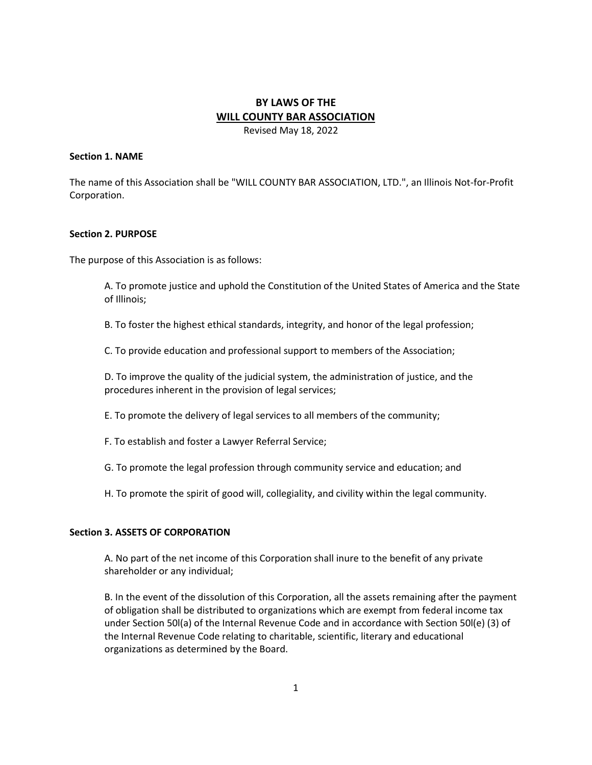# **BY LAWS OF THE WILL COUNTY BAR ASSOCIATION** Revised May 18, 2022

#### **Section 1. NAME**

The name of this Association shall be "WILL COUNTY BAR ASSOCIATION, LTD.", an Illinois Not-for-Profit Corporation.

#### **Section 2. PURPOSE**

The purpose of this Association is as follows:

A. To promote justice and uphold the Constitution of the United States of America and the State of Illinois;

B. To foster the highest ethical standards, integrity, and honor of the legal profession;

C. To provide education and professional support to members of the Association;

D. To improve the quality of the judicial system, the administration of justice, and the procedures inherent in the provision of legal services;

E. To promote the delivery of legal services to all members of the community;

F. To establish and foster a Lawyer Referral Service;

G. To promote the legal profession through community service and education; and

H. To promote the spirit of good will, collegiality, and civility within the legal community.

#### **Section 3. ASSETS OF CORPORATION**

A. No part of the net income of this Corporation shall inure to the benefit of any private shareholder or any individual;

B. In the event of the dissolution of this Corporation, all the assets remaining after the payment of obligation shall be distributed to organizations which are exempt from federal income tax under Section 50l(a) of the Internal Revenue Code and in accordance with Section 50l(e) (3) of the Internal Revenue Code relating to charitable, scientific, literary and educational organizations as determined by the Board.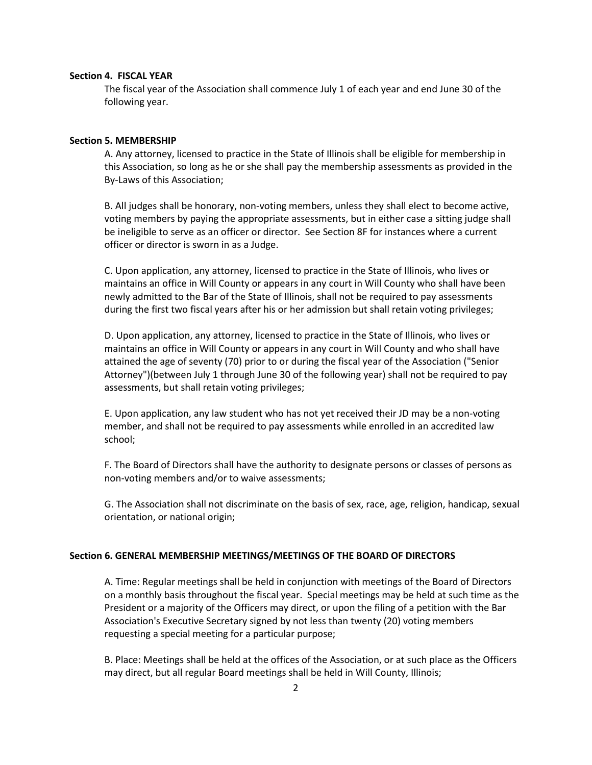#### **Section 4. FISCAL YEAR**

The fiscal year of the Association shall commence July 1 of each year and end June 30 of the following year.

#### **Section 5. MEMBERSHIP**

A. Any attorney, licensed to practice in the State of Illinois shall be eligible for membership in this Association, so long as he or she shall pay the membership assessments as provided in the By-Laws of this Association;

B. All judges shall be honorary, non-voting members, unless they shall elect to become active, voting members by paying the appropriate assessments, but in either case a sitting judge shall be ineligible to serve as an officer or director. See Section 8F for instances where a current officer or director is sworn in as a Judge.

C. Upon application, any attorney, licensed to practice in the State of Illinois, who lives or maintains an office in Will County or appears in any court in Will County who shall have been newly admitted to the Bar of the State of Illinois, shall not be required to pay assessments during the first two fiscal years after his or her admission but shall retain voting privileges;

D. Upon application, any attorney, licensed to practice in the State of Illinois, who lives or maintains an office in Will County or appears in any court in Will County and who shall have attained the age of seventy (70) prior to or during the fiscal year of the Association ("Senior Attorney")(between July 1 through June 30 of the following year) shall not be required to pay assessments, but shall retain voting privileges;

E. Upon application, any law student who has not yet received their JD may be a non-voting member, and shall not be required to pay assessments while enrolled in an accredited law school;

F. The Board of Directors shall have the authority to designate persons or classes of persons as non-voting members and/or to waive assessments;

G. The Association shall not discriminate on the basis of sex, race, age, religion, handicap, sexual orientation, or national origin;

#### **Section 6. GENERAL MEMBERSHIP MEETINGS/MEETINGS OF THE BOARD OF DIRECTORS**

A. Time: Regular meetings shall be held in conjunction with meetings of the Board of Directors on a monthly basis throughout the fiscal year. Special meetings may be held at such time as the President or a majority of the Officers may direct, or upon the filing of a petition with the Bar Association's Executive Secretary signed by not less than twenty (20) voting members requesting a special meeting for a particular purpose;

B. Place: Meetings shall be held at the offices of the Association, or at such place as the Officers may direct, but all regular Board meetings shall be held in Will County, Illinois;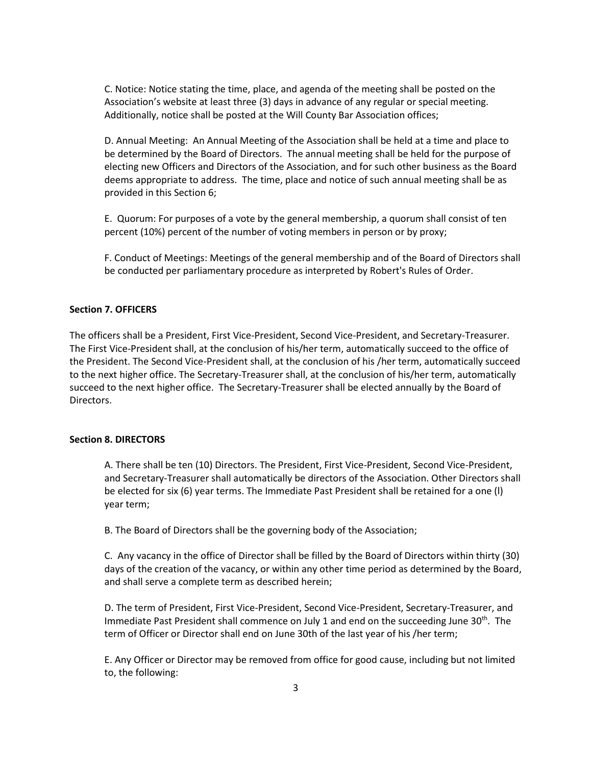C. Notice: Notice stating the time, place, and agenda of the meeting shall be posted on the Association's website at least three (3) days in advance of any regular or special meeting. Additionally, notice shall be posted at the Will County Bar Association offices;

D. Annual Meeting: An Annual Meeting of the Association shall be held at a time and place to be determined by the Board of Directors. The annual meeting shall be held for the purpose of electing new Officers and Directors of the Association, and for such other business as the Board deems appropriate to address. The time, place and notice of such annual meeting shall be as provided in this Section 6;

E. Quorum: For purposes of a vote by the general membership, a quorum shall consist of ten percent (10%) percent of the number of voting members in person or by proxy;

F. Conduct of Meetings: Meetings of the general membership and of the Board of Directors shall be conducted per parliamentary procedure as interpreted by Robert's Rules of Order.

### **Section 7. OFFICERS**

The officers shall be a President, First Vice-President, Second Vice-President, and Secretary-Treasurer. The First Vice-President shall, at the conclusion of his/her term, automatically succeed to the office of the President. The Second Vice-President shall, at the conclusion of his /her term, automatically succeed to the next higher office. The Secretary-Treasurer shall, at the conclusion of his/her term, automatically succeed to the next higher office. The Secretary-Treasurer shall be elected annually by the Board of Directors.

## **Section 8. DIRECTORS**

A. There shall be ten (10) Directors. The President, First Vice-President, Second Vice-President, and Secretary-Treasurer shall automatically be directors of the Association. Other Directors shall be elected for six (6) year terms. The Immediate Past President shall be retained for a one (l) year term;

B. The Board of Directors shall be the governing body of the Association;

C. Any vacancy in the office of Director shall be filled by the Board of Directors within thirty (30) days of the creation of the vacancy, or within any other time period as determined by the Board, and shall serve a complete term as described herein;

D. The term of President, First Vice-President, Second Vice-President, Secretary-Treasurer, and Immediate Past President shall commence on July 1 and end on the succeeding June  $30^{th}$ . The term of Officer or Director shall end on June 30th of the last year of his /her term;

E. Any Officer or Director may be removed from office for good cause, including but not limited to, the following: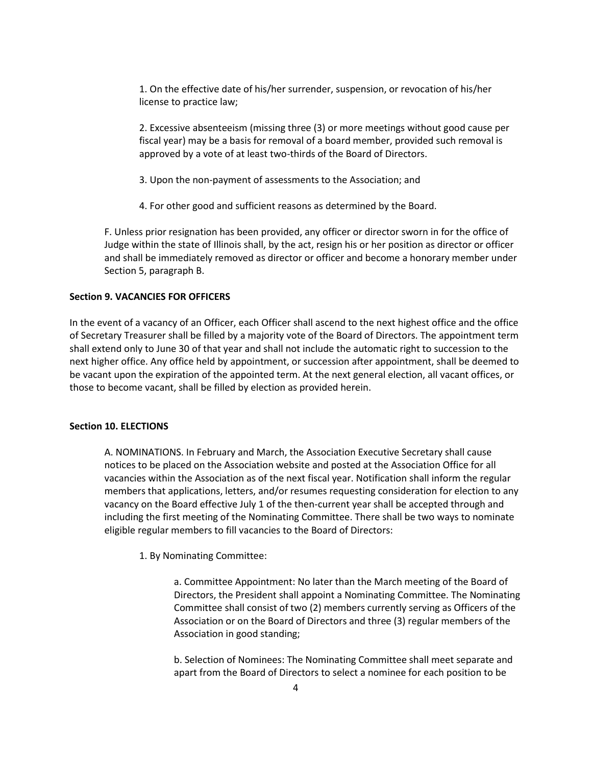1. On the effective date of his/her surrender, suspension, or revocation of his/her license to practice law;

2. Excessive absenteeism (missing three (3) or more meetings without good cause per fiscal year) may be a basis for removal of a board member, provided such removal is approved by a vote of at least two-thirds of the Board of Directors.

- 3. Upon the non-payment of assessments to the Association; and
- 4. For other good and sufficient reasons as determined by the Board.

F. Unless prior resignation has been provided, any officer or director sworn in for the office of Judge within the state of Illinois shall, by the act, resign his or her position as director or officer and shall be immediately removed as director or officer and become a honorary member under Section 5, paragraph B.

## **Section 9. VACANCIES FOR OFFICERS**

In the event of a vacancy of an Officer, each Officer shall ascend to the next highest office and the office of Secretary Treasurer shall be filled by a majority vote of the Board of Directors. The appointment term shall extend only to June 30 of that year and shall not include the automatic right to succession to the next higher office. Any office held by appointment, or succession after appointment, shall be deemed to be vacant upon the expiration of the appointed term. At the next general election, all vacant offices, or those to become vacant, shall be filled by election as provided herein.

## **Section 10. ELECTIONS**

A. NOMINATIONS. In February and March, the Association Executive Secretary shall cause notices to be placed on the Association website and posted at the Association Office for all vacancies within the Association as of the next fiscal year. Notification shall inform the regular members that applications, letters, and/or resumes requesting consideration for election to any vacancy on the Board effective July 1 of the then-current year shall be accepted through and including the first meeting of the Nominating Committee. There shall be two ways to nominate eligible regular members to fill vacancies to the Board of Directors:

#### 1. By Nominating Committee:

a. Committee Appointment: No later than the March meeting of the Board of Directors, the President shall appoint a Nominating Committee. The Nominating Committee shall consist of two (2) members currently serving as Officers of the Association or on the Board of Directors and three (3) regular members of the Association in good standing;

b. Selection of Nominees: The Nominating Committee shall meet separate and apart from the Board of Directors to select a nominee for each position to be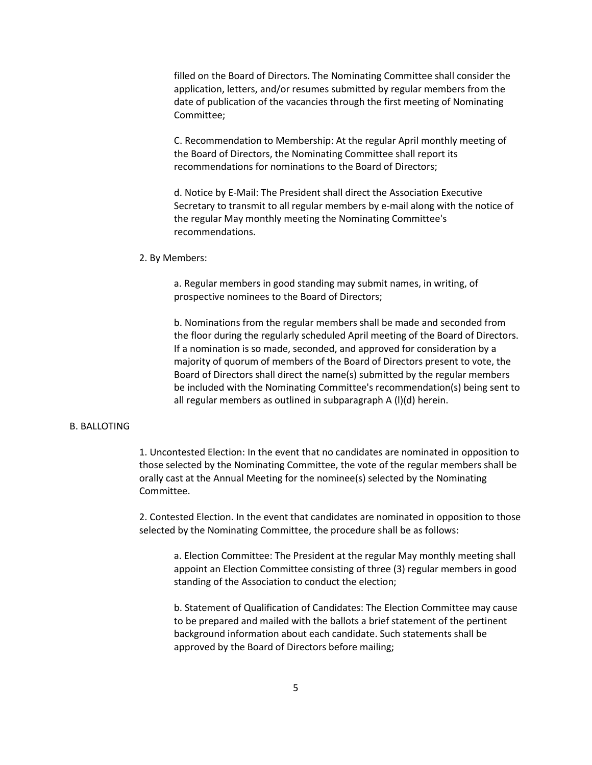filled on the Board of Directors. The Nominating Committee shall consider the application, letters, and/or resumes submitted by regular members from the date of publication of the vacancies through the first meeting of Nominating Committee;

C. Recommendation to Membership: At the regular April monthly meeting of the Board of Directors, the Nominating Committee shall report its recommendations for nominations to the Board of Directors;

d. Notice by E-Mail: The President shall direct the Association Executive Secretary to transmit to all regular members by e-mail along with the notice of the regular May monthly meeting the Nominating Committee's recommendations.

#### 2. By Members:

a. Regular members in good standing may submit names, in writing, of prospective nominees to the Board of Directors;

b. Nominations from the regular members shall be made and seconded from the floor during the regularly scheduled April meeting of the Board of Directors. If a nomination is so made, seconded, and approved for consideration by a majority of quorum of members of the Board of Directors present to vote, the Board of Directors shall direct the name(s) submitted by the regular members be included with the Nominating Committee's recommendation(s) being sent to all regular members as outlined in subparagraph A (l)(d) herein.

#### B. BALLOTING

1. Uncontested Election: In the event that no candidates are nominated in opposition to those selected by the Nominating Committee, the vote of the regular members shall be orally cast at the Annual Meeting for the nominee(s) selected by the Nominating Committee.

2. Contested Election. In the event that candidates are nominated in opposition to those selected by the Nominating Committee, the procedure shall be as follows:

a. Election Committee: The President at the regular May monthly meeting shall appoint an Election Committee consisting of three (3) regular members in good standing of the Association to conduct the election;

b. Statement of Qualification of Candidates: The Election Committee may cause to be prepared and mailed with the ballots a brief statement of the pertinent background information about each candidate. Such statements shall be approved by the Board of Directors before mailing;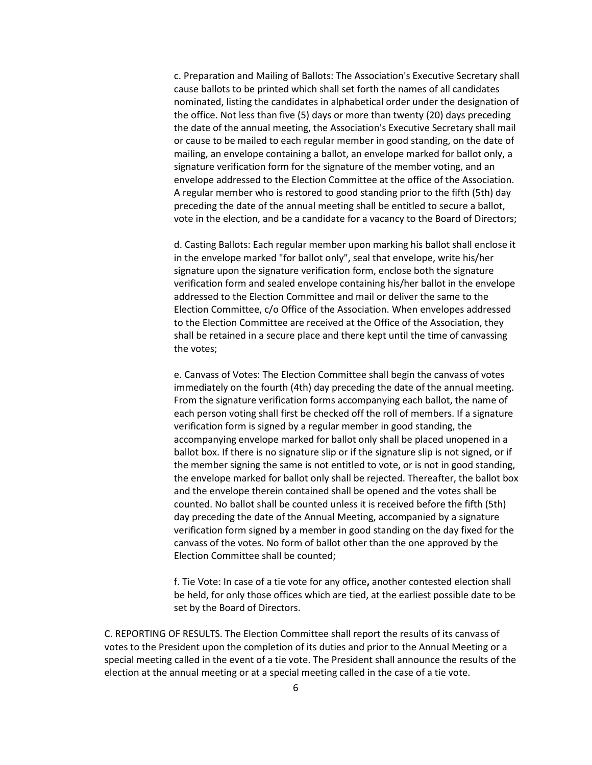c. Preparation and Mailing of Ballots: The Association's Executive Secretary shall cause ballots to be printed which shall set forth the names of all candidates nominated, listing the candidates in alphabetical order under the designation of the office. Not less than five (5) days or more than twenty (20) days preceding the date of the annual meeting, the Association's Executive Secretary shall mail or cause to be mailed to each regular member in good standing, on the date of mailing, an envelope containing a ballot, an envelope marked for ballot only, a signature verification form for the signature of the member voting, and an envelope addressed to the Election Committee at the office of the Association. A regular member who is restored to good standing prior to the fifth (5th) day preceding the date of the annual meeting shall be entitled to secure a ballot, vote in the election, and be a candidate for a vacancy to the Board of Directors;

d. Casting Ballots: Each regular member upon marking his ballot shall enclose it in the envelope marked "for ballot only", seal that envelope, write his/her signature upon the signature verification form, enclose both the signature verification form and sealed envelope containing his/her ballot in the envelope addressed to the Election Committee and mail or deliver the same to the Election Committee, c/o Office of the Association. When envelopes addressed to the Election Committee are received at the Office of the Association, they shall be retained in a secure place and there kept until the time of canvassing the votes;

e. Canvass of Votes: The Election Committee shall begin the canvass of votes immediately on the fourth (4th) day preceding the date of the annual meeting. From the signature verification forms accompanying each ballot, the name of each person voting shall first be checked off the roll of members. If a signature verification form is signed by a regular member in good standing, the accompanying envelope marked for ballot only shall be placed unopened in a ballot box. If there is no signature slip or if the signature slip is not signed, or if the member signing the same is not entitled to vote, or is not in good standing, the envelope marked for ballot only shall be rejected. Thereafter, the ballot box and the envelope therein contained shall be opened and the votes shall be counted. No ballot shall be counted unless it is received before the fifth (5th) day preceding the date of the Annual Meeting, accompanied by a signature verification form signed by a member in good standing on the day fixed for the canvass of the votes. No form of ballot other than the one approved by the Election Committee shall be counted;

f. Tie Vote: In case of a tie vote for any office**,** another contested election shall be held, for only those offices which are tied, at the earliest possible date to be set by the Board of Directors.

C. REPORTING OF RESULTS. The Election Committee shall report the results of its canvass of votes to the President upon the completion of its duties and prior to the Annual Meeting or a special meeting called in the event of a tie vote. The President shall announce the results of the election at the annual meeting or at a special meeting called in the case of a tie vote.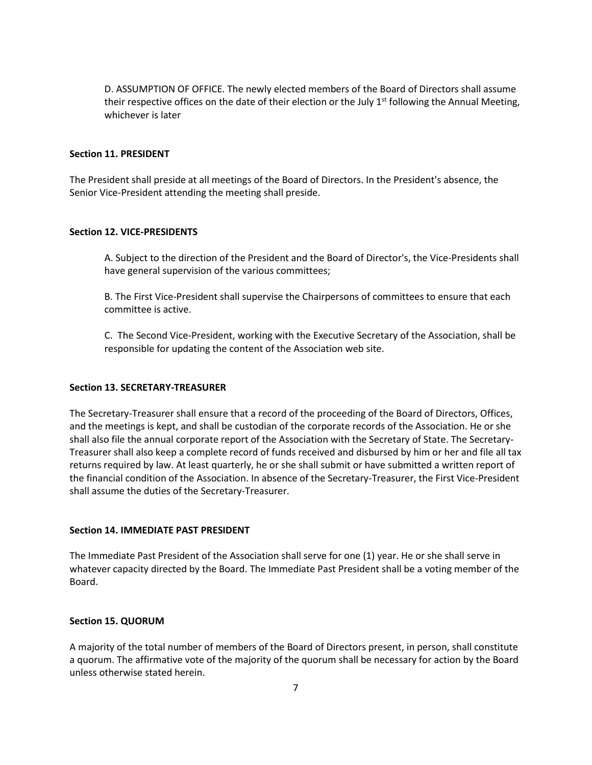D. ASSUMPTION OF OFFICE. The newly elected members of the Board of Directors shall assume their respective offices on the date of their election or the July  $1<sup>st</sup>$  following the Annual Meeting, whichever is later

## **Section 11. PRESIDENT**

The President shall preside at all meetings of the Board of Directors. In the President's absence, the Senior Vice-President attending the meeting shall preside.

### **Section 12. VICE-PRESIDENTS**

A. Subject to the direction of the President and the Board of Director's, the Vice-Presidents shall have general supervision of the various committees;

B. The First Vice-President shall supervise the Chairpersons of committees to ensure that each committee is active.

C. The Second Vice-President, working with the Executive Secretary of the Association, shall be responsible for updating the content of the Association web site.

### **Section 13. SECRETARY-TREASURER**

The Secretary-Treasurer shall ensure that a record of the proceeding of the Board of Directors, Offices, and the meetings is kept, and shall be custodian of the corporate records of the Association. He or she shall also file the annual corporate report of the Association with the Secretary of State. The Secretary-Treasurer shall also keep a complete record of funds received and disbursed by him or her and file all tax returns required by law. At least quarterly, he or she shall submit or have submitted a written report of the financial condition of the Association. In absence of the Secretary-Treasurer, the First Vice-President shall assume the duties of the Secretary-Treasurer.

#### **Section 14. IMMEDIATE PAST PRESIDENT**

The Immediate Past President of the Association shall serve for one (1) year. He or she shall serve in whatever capacity directed by the Board. The Immediate Past President shall be a voting member of the Board.

## **Section 15. QUORUM**

A majority of the total number of members of the Board of Directors present, in person, shall constitute a quorum. The affirmative vote of the majority of the quorum shall be necessary for action by the Board unless otherwise stated herein.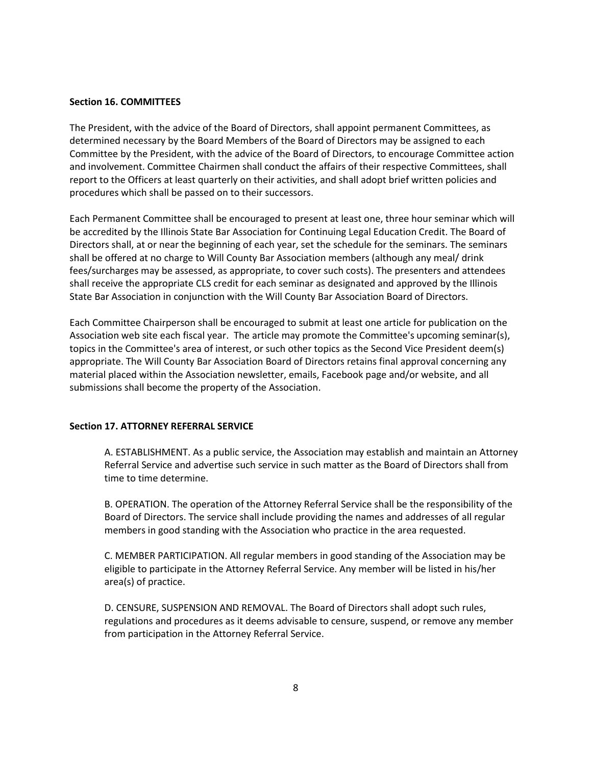### **Section 16. COMMITTEES**

The President, with the advice of the Board of Directors, shall appoint permanent Committees, as determined necessary by the Board Members of the Board of Directors may be assigned to each Committee by the President, with the advice of the Board of Directors, to encourage Committee action and involvement. Committee Chairmen shall conduct the affairs of their respective Committees, shall report to the Officers at least quarterly on their activities, and shall adopt brief written policies and procedures which shall be passed on to their successors.

Each Permanent Committee shall be encouraged to present at least one, three hour seminar which will be accredited by the Illinois State Bar Association for Continuing Legal Education Credit. The Board of Directors shall, at or near the beginning of each year, set the schedule for the seminars. The seminars shall be offered at no charge to Will County Bar Association members (although any meal/ drink fees/surcharges may be assessed, as appropriate, to cover such costs). The presenters and attendees shall receive the appropriate CLS credit for each seminar as designated and approved by the Illinois State Bar Association in conjunction with the Will County Bar Association Board of Directors.

Each Committee Chairperson shall be encouraged to submit at least one article for publication on the Association web site each fiscal year. The article may promote the Committee's upcoming seminar(s), topics in the Committee's area of interest, or such other topics as the Second Vice President deem(s) appropriate. The Will County Bar Association Board of Directors retains final approval concerning any material placed within the Association newsletter, emails, Facebook page and/or website, and all submissions shall become the property of the Association.

## **Section 17. ATTORNEY REFERRAL SERVICE**

A. ESTABLISHMENT. As a public service, the Association may establish and maintain an Attorney Referral Service and advertise such service in such matter as the Board of Directors shall from time to time determine.

B. OPERATION. The operation of the Attorney Referral Service shall be the responsibility of the Board of Directors. The service shall include providing the names and addresses of all regular members in good standing with the Association who practice in the area requested.

C. MEMBER PARTICIPATION. All regular members in good standing of the Association may be eligible to participate in the Attorney Referral Service. Any member will be listed in his/her area(s) of practice.

D. CENSURE, SUSPENSION AND REMOVAL. The Board of Directors shall adopt such rules, regulations and procedures as it deems advisable to censure, suspend, or remove any member from participation in the Attorney Referral Service.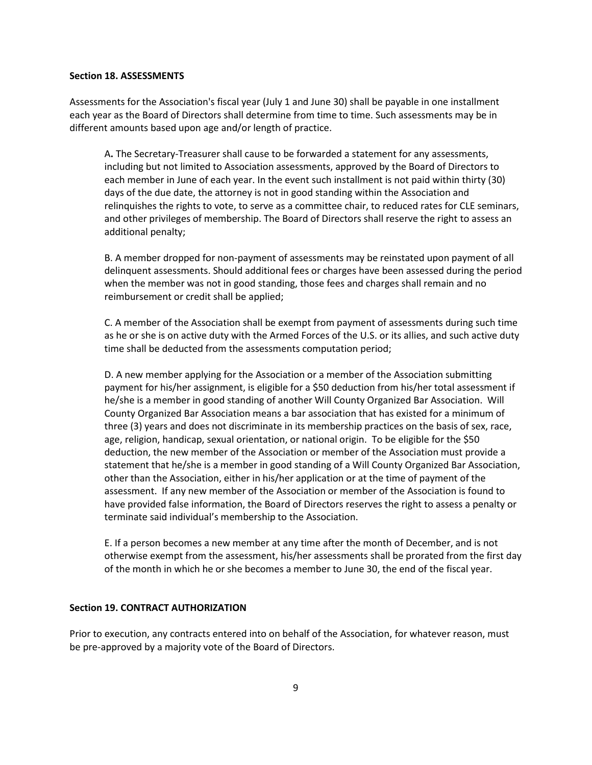#### **Section 18. ASSESSMENTS**

Assessments for the Association's fiscal year (July 1 and June 30) shall be payable in one installment each year as the Board of Directors shall determine from time to time. Such assessments may be in different amounts based upon age and/or length of practice.

A**.** The Secretary-Treasurer shall cause to be forwarded a statement for any assessments, including but not limited to Association assessments, approved by the Board of Directors to each member in June of each year. In the event such installment is not paid within thirty (30) days of the due date, the attorney is not in good standing within the Association and relinquishes the rights to vote, to serve as a committee chair, to reduced rates for CLE seminars, and other privileges of membership. The Board of Directors shall reserve the right to assess an additional penalty;

B. A member dropped for non-payment of assessments may be reinstated upon payment of all delinquent assessments. Should additional fees or charges have been assessed during the period when the member was not in good standing, those fees and charges shall remain and no reimbursement or credit shall be applied;

C. A member of the Association shall be exempt from payment of assessments during such time as he or she is on active duty with the Armed Forces of the U.S. or its allies, and such active duty time shall be deducted from the assessments computation period;

D. A new member applying for the Association or a member of the Association submitting payment for his/her assignment, is eligible for a \$50 deduction from his/her total assessment if he/she is a member in good standing of another Will County Organized Bar Association. Will County Organized Bar Association means a bar association that has existed for a minimum of three (3) years and does not discriminate in its membership practices on the basis of sex, race, age, religion, handicap, sexual orientation, or national origin. To be eligible for the \$50 deduction, the new member of the Association or member of the Association must provide a statement that he/she is a member in good standing of a Will County Organized Bar Association, other than the Association, either in his/her application or at the time of payment of the assessment. If any new member of the Association or member of the Association is found to have provided false information, the Board of Directors reserves the right to assess a penalty or terminate said individual's membership to the Association.

E. If a person becomes a new member at any time after the month of December, and is not otherwise exempt from the assessment, his/her assessments shall be prorated from the first day of the month in which he or she becomes a member to June 30, the end of the fiscal year.

## **Section 19. CONTRACT AUTHORIZATION**

Prior to execution, any contracts entered into on behalf of the Association, for whatever reason, must be pre-approved by a majority vote of the Board of Directors.